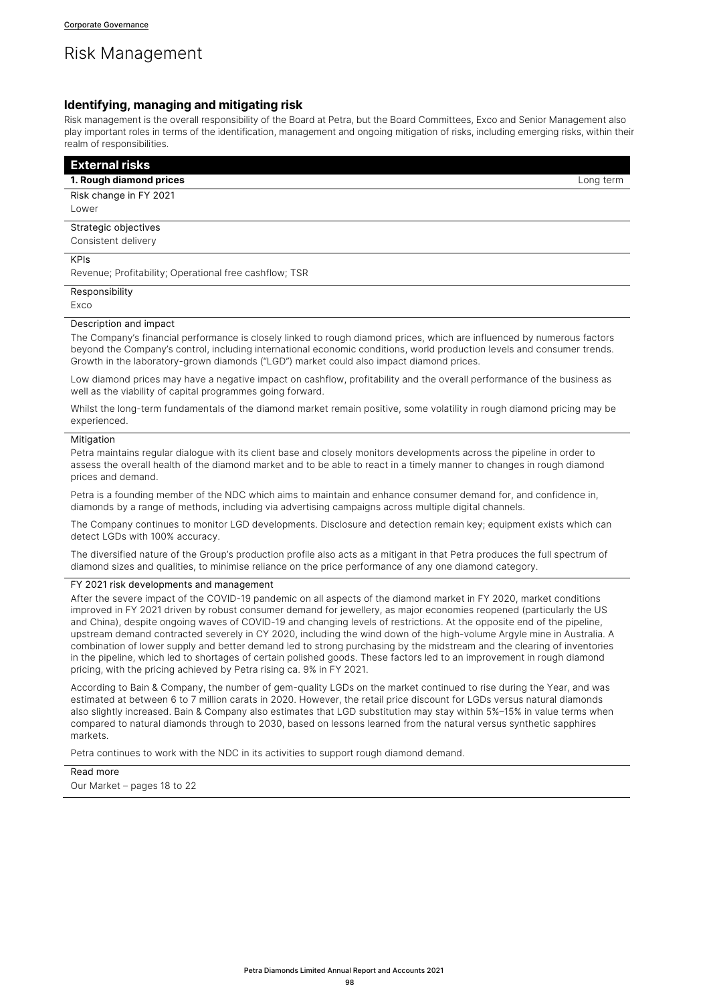# Risk Management

# **Identifying, managing and mitigating risk**

Risk management is the overall responsibility of the Board at Petra, but the Board Committees, Exco and Senior Management also play important roles in terms of the identification, management and ongoing mitigation of risks, including emerging risks, within their realm of responsibilities.

| <b>External risks</b>                                                                                                                                                                                                                                                                                                                          |           |
|------------------------------------------------------------------------------------------------------------------------------------------------------------------------------------------------------------------------------------------------------------------------------------------------------------------------------------------------|-----------|
| 1. Rough diamond prices                                                                                                                                                                                                                                                                                                                        | Long term |
| Risk change in FY 2021                                                                                                                                                                                                                                                                                                                         |           |
| Lower                                                                                                                                                                                                                                                                                                                                          |           |
| Strategic objectives                                                                                                                                                                                                                                                                                                                           |           |
| Consistent delivery                                                                                                                                                                                                                                                                                                                            |           |
| <b>KPIS</b>                                                                                                                                                                                                                                                                                                                                    |           |
| Revenue; Profitability; Operational free cashflow; TSR                                                                                                                                                                                                                                                                                         |           |
| Responsibility                                                                                                                                                                                                                                                                                                                                 |           |
| Exco                                                                                                                                                                                                                                                                                                                                           |           |
| Description and impact                                                                                                                                                                                                                                                                                                                         |           |
| The Company's financial performance is closely linked to rough diamond prices, which are influenced by numerous factors<br>beyond the Company's control, including international economic conditions, world production levels and consumer trends.<br>Growth in the laboratory-grown diamonds ("LGD") market could also impact diamond prices. |           |

Low diamond prices may have a negative impact on cashflow, profitability and the overall performance of the business as well as the viability of capital programmes going forward.

Whilst the long-term fundamentals of the diamond market remain positive, some volatility in rough diamond pricing may be experienced.

# **Mitigation**

Petra maintains regular dialogue with its client base and closely monitors developments across the pipeline in order to assess the overall health of the diamond market and to be able to react in a timely manner to changes in rough diamond prices and demand.

Petra is a founding member of the NDC which aims to maintain and enhance consumer demand for, and confidence in, diamonds by a range of methods, including via advertising campaigns across multiple digital channels.

The Company continues to monitor LGD developments. Disclosure and detection remain key; equipment exists which can detect LGDs with 100% accuracy.

The diversified nature of the Group's production profile also acts as a mitigant in that Petra produces the full spectrum of diamond sizes and qualities, to minimise reliance on the price performance of any one diamond category.

# FY 2021 risk developments and management

After the severe impact of the COVID-19 pandemic on all aspects of the diamond market in FY 2020, market conditions improved in FY 2021 driven by robust consumer demand for jewellery, as major economies reopened (particularly the US and China), despite ongoing waves of COVID-19 and changing levels of restrictions. At the opposite end of the pipeline, upstream demand contracted severely in CY 2020, including the wind down of the high-volume Argyle mine in Australia. A combination of lower supply and better demand led to strong purchasing by the midstream and the clearing of inventories in the pipeline, which led to shortages of certain polished goods. These factors led to an improvement in rough diamond pricing, with the pricing achieved by Petra rising ca. 9% in FY 2021.

According to Bain & Company, the number of gem-quality LGDs on the market continued to rise during the Year, and was estimated at between 6 to 7 million carats in 2020. However, the retail price discount for LGDs versus natural diamonds also slightly increased. Bain & Company also estimates that LGD substitution may stay within 5%–15% in value terms when compared to natural diamonds through to 2030, based on lessons learned from the natural versus synthetic sapphires markets.

Petra continues to work with the NDC in its activities to support rough diamond demand.

Read more Our Market – pages 18 to 22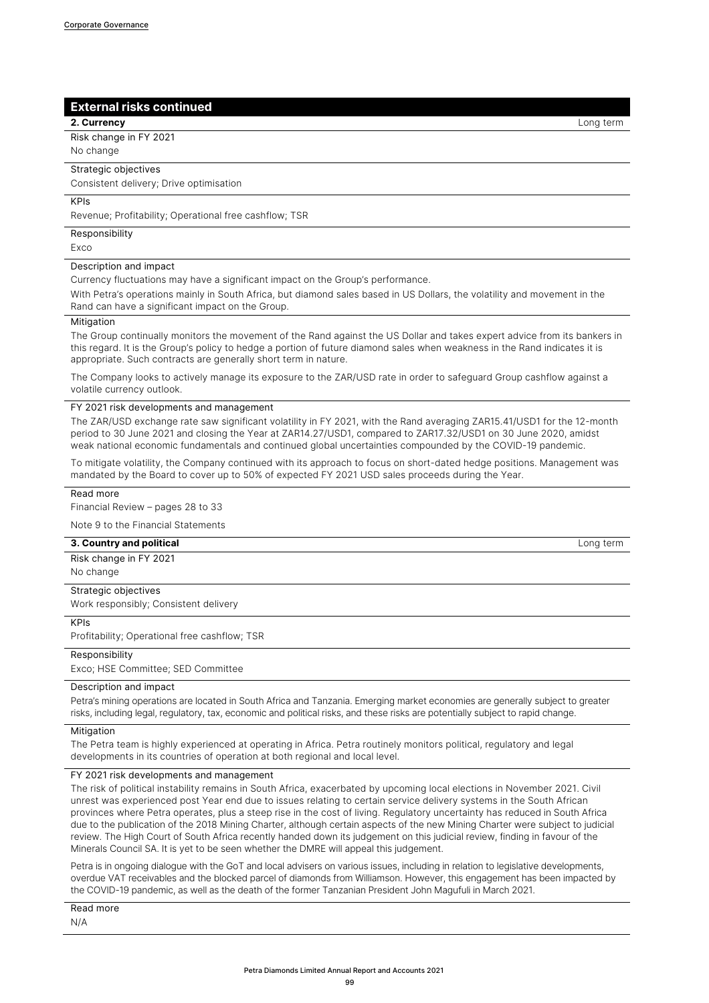# **External risks continued**

# **2. Currency** Long term

Risk change in FY 2021 No change

# Strategic objectives

Consistent delivery; Drive optimisation

# KPIs

Revenue; Profitability; Operational free cashflow; TSR

# Responsibility

Exco

# Description and impact

Currency fluctuations may have a significant impact on the Group's performance.

With Petra's operations mainly in South Africa, but diamond sales based in US Dollars, the volatility and movement in the Rand can have a significant impact on the Group.

# **Mitigation**

The Group continually monitors the movement of the Rand against the US Dollar and takes expert advice from its bankers in this regard. It is the Group's policy to hedge a portion of future diamond sales when weakness in the Rand indicates it is appropriate. Such contracts are generally short term in nature.

The Company looks to actively manage its exposure to the ZAR/USD rate in order to safeguard Group cashflow against a volatile currency outlook.

#### FY 2021 risk developments and management

The ZAR/USD exchange rate saw significant volatility in FY 2021, with the Rand averaging ZAR15.41/USD1 for the 12-month period to 30 June 2021 and closing the Year at ZAR14.27/USD1, compared to ZAR17.32/USD1 on 30 June 2020, amidst weak national economic fundamentals and continued global uncertainties compounded by the COVID-19 pandemic.

To mitigate volatility, the Company continued with its approach to focus on short-dated hedge positions. Management was mandated by the Board to cover up to 50% of expected FY 2021 USD sales proceeds during the Year.

Read more

Financial Review – pages 28 to 33

Note 9 to the Financial Statements

#### **3. Country and political** Long term

Risk change in FY 2021

No change

# Strategic objectives

Work responsibly; Consistent delivery

#### KPIs

Profitability; Operational free cashflow; TSR

# Responsibility

Exco; HSE Committee; SED Committee

## Description and impact

Petra's mining operations are located in South Africa and Tanzania. Emerging market economies are generally subject to greater risks, including legal, regulatory, tax, economic and political risks, and these risks are potentially subject to rapid change.

#### Mitigation

The Petra team is highly experienced at operating in Africa. Petra routinely monitors political, regulatory and legal developments in its countries of operation at both regional and local level.

# FY 2021 risk developments and management

The risk of political instability remains in South Africa, exacerbated by upcoming local elections in November 2021. Civil unrest was experienced post Year end due to issues relating to certain service delivery systems in the South African provinces where Petra operates, plus a steep rise in the cost of living. Regulatory uncertainty has reduced in South Africa due to the publication of the 2018 Mining Charter, although certain aspects of the new Mining Charter were subject to judicial review. The High Court of South Africa recently handed down its judgement on this judicial review, finding in favour of the Minerals Council SA. It is yet to be seen whether the DMRE will appeal this judgement.

Petra is in ongoing dialogue with the GoT and local advisers on various issues, including in relation to legislative developments, overdue VAT receivables and the blocked parcel of diamonds from Williamson. However, this engagement has been impacted by the COVID-19 pandemic, as well as the death of the former Tanzanian President John Magufuli in March 2021.

Read more N/A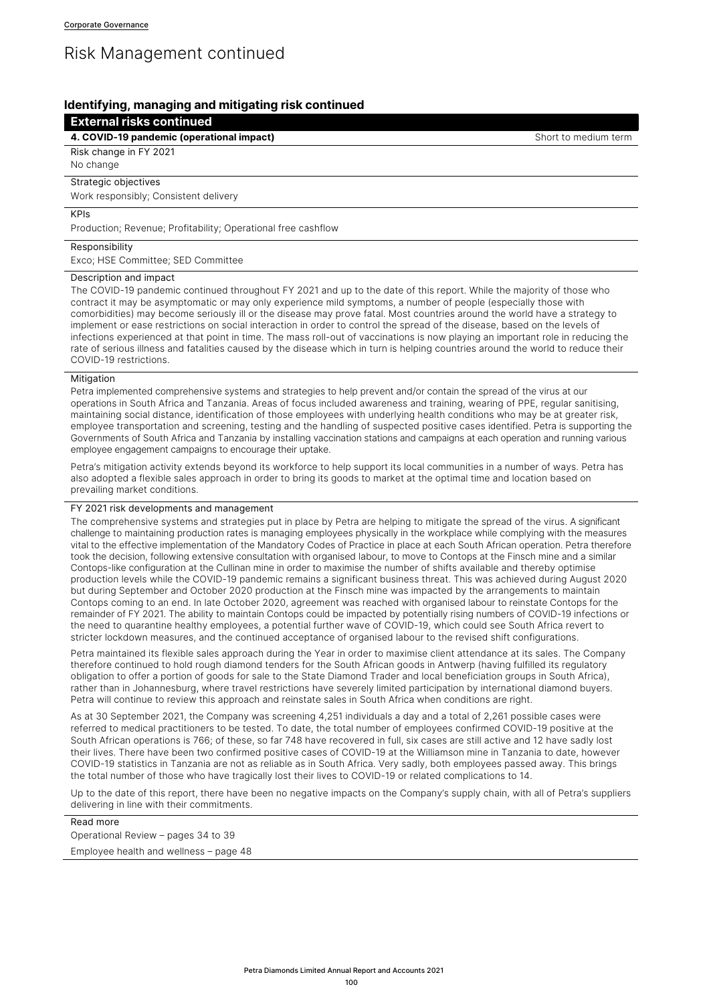# Risk Management continued

# **Identifying, managing and mitigating risk continued**

# **External risks continued**

**4. COVID-19 pandemic (operational impact)** Short to medium term

Risk change in FY 2021

No change

# Strategic objectives

Work responsibly; Consistent delivery

# KPIs

Production; Revenue; Profitability; Operational free cashflow

#### Responsibility

Exco; HSE Committee; SED Committee

#### Description and impact

The COVID-19 pandemic continued throughout FY 2021 and up to the date of this report. While the majority of those who contract it may be asymptomatic or may only experience mild symptoms, a number of people (especially those with comorbidities) may become seriously ill or the disease may prove fatal. Most countries around the world have a strategy to implement or ease restrictions on social interaction in order to control the spread of the disease, based on the levels of infections experienced at that point in time. The mass roll-out of vaccinations is now playing an important role in reducing the rate of serious illness and fatalities caused by the disease which in turn is helping countries around the world to reduce their COVID-19 restrictions.

## Mitigation

Petra implemented comprehensive systems and strategies to help prevent and/or contain the spread of the virus at our operations in South Africa and Tanzania. Areas of focus included awareness and training, wearing of PPE, regular sanitising, maintaining social distance, identification of those employees with underlying health conditions who may be at greater risk, employee transportation and screening, testing and the handling of suspected positive cases identified. Petra is supporting the Governments of South Africa and Tanzania by installing vaccination stations and campaigns at each operation and running various employee engagement campaigns to encourage their uptake.

Petra's mitigation activity extends beyond its workforce to help support its local communities in a number of ways. Petra has also adopted a flexible sales approach in order to bring its goods to market at the optimal time and location based on prevailing market conditions.

# FY 2021 risk developments and management

The comprehensive systems and strategies put in place by Petra are helping to mitigate the spread of the virus. A significant challenge to maintaining production rates is managing employees physically in the workplace while complying with the measures vital to the effective implementation of the Mandatory Codes of Practice in place at each South African operation. Petra therefore took the decision, following extensive consultation with organised labour, to move to Contops at the Finsch mine and a similar Contops-like configuration at the Cullinan mine in order to maximise the number of shifts available and thereby optimise production levels while the COVID-19 pandemic remains a significant business threat. This was achieved during August 2020 but during September and October 2020 production at the Finsch mine was impacted by the arrangements to maintain Contops coming to an end. In late October 2020, agreement was reached with organised labour to reinstate Contops for the remainder of FY 2021. The ability to maintain Contops could be impacted by potentially rising numbers of COVID-19 infections or the need to quarantine healthy employees, a potential further wave of COVID-19, which could see South Africa revert to stricter lockdown measures, and the continued acceptance of organised labour to the revised shift configurations.

Petra maintained its flexible sales approach during the Year in order to maximise client attendance at its sales. The Company therefore continued to hold rough diamond tenders for the South African goods in Antwerp (having fulfilled its regulatory obligation to offer a portion of goods for sale to the State Diamond Trader and local beneficiation groups in South Africa), rather than in Johannesburg, where travel restrictions have severely limited participation by international diamond buyers. Petra will continue to review this approach and reinstate sales in South Africa when conditions are right.

As at 30 September 2021, the Company was screening 4,251 individuals a day and a total of 2,261 possible cases were referred to medical practitioners to be tested. To date, the total number of employees confirmed COVID-19 positive at the South African operations is 766; of these, so far 748 have recovered in full, six cases are still active and 12 have sadly lost their lives. There have been two confirmed positive cases of COVID-19 at the Williamson mine in Tanzania to date, however COVID-19 statistics in Tanzania are not as reliable as in South Africa. Very sadly, both employees passed away. This brings the total number of those who have tragically lost their lives to COVID-19 or related complications to 14.

Up to the date of this report, there have been no negative impacts on the Company's supply chain, with all of Petra's suppliers delivering in line with their commitments.

Read more Operational Review – pages 34 to 39 Employee health and wellness – page 48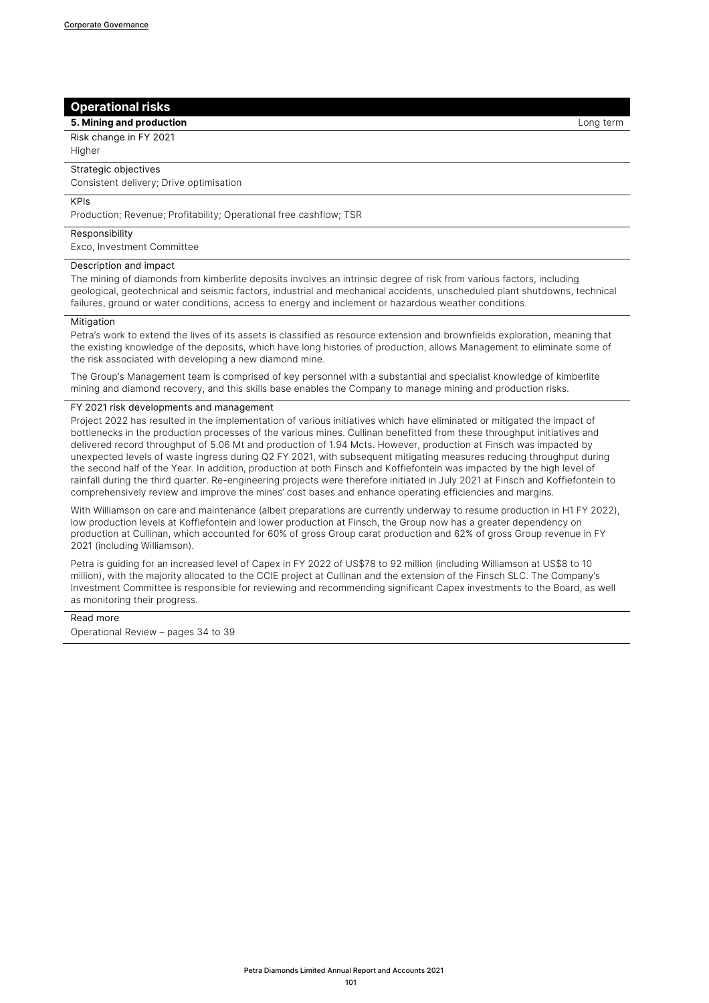# **Operational risks**

**5. Mining and production Long term 1. All of the state of the state of the state of the state of the state of the state of the state of the state of the state of the state of the state of the state of the state of the** 

Risk change in FY 2021

**Higher** 

# Strategic objectives

Consistent delivery; Drive optimisation

# KPIs

Production; Revenue; Profitability; Operational free cashflow; TSR

#### Responsibility

Exco, Investment Committee

# Description and impact

The mining of diamonds from kimberlite deposits involves an intrinsic degree of risk from various factors, including geological, geotechnical and seismic factors, industrial and mechanical accidents, unscheduled plant shutdowns, technical failures, ground or water conditions, access to energy and inclement or hazardous weather conditions.

# **Mitigation**

Petra's work to extend the lives of its assets is classified as resource extension and brownfields exploration, meaning that the existing knowledge of the deposits, which have long histories of production, allows Management to eliminate some of the risk associated with developing a new diamond mine.

The Group's Management team is comprised of key personnel with a substantial and specialist knowledge of kimberlite mining and diamond recovery, and this skills base enables the Company to manage mining and production risks.

#### FY 2021 risk developments and management

Project 2022 has resulted in the implementation of various initiatives which have eliminated or mitigated the impact of bottlenecks in the production processes of the various mines. Cullinan benefitted from these throughput initiatives and delivered record throughput of 5.06 Mt and production of 1.94 Mcts. However, production at Finsch was impacted by unexpected levels of waste ingress during Q2 FY 2021, with subsequent mitigating measures reducing throughput during the second half of the Year. In addition, production at both Finsch and Koffiefontein was impacted by the high level of rainfall during the third quarter. Re-engineering projects were therefore initiated in July 2021 at Finsch and Koffiefontein to comprehensively review and improve the mines' cost bases and enhance operating efficiencies and margins.

With Williamson on care and maintenance (albeit preparations are currently underway to resume production in H1 FY 2022), low production levels at Koffiefontein and lower production at Finsch, the Group now has a greater dependency on production at Cullinan, which accounted for 60% of gross Group carat production and 62% of gross Group revenue in FY 2021 (including Williamson).

Petra is guiding for an increased level of Capex in FY 2022 of US\$78 to 92 million (including Williamson at US\$8 to 10 million), with the majority allocated to the CCIE project at Cullinan and the extension of the Finsch SLC. The Company's Investment Committee is responsible for reviewing and recommending significant Capex investments to the Board, as well as monitoring their progress.

Read more Operational Review – pages 34 to 39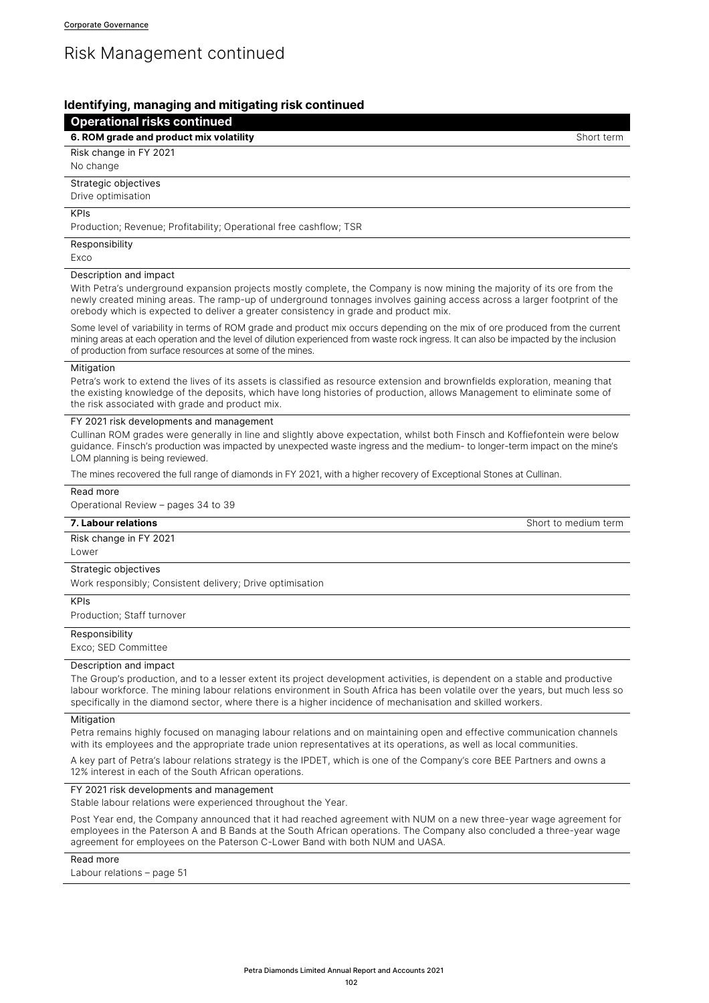# Risk Management continued

# **Identifying, managing and mitigating risk continued**

# **Operational risks continued**

**6. ROM grade and product mix volatility** Short **and Short term** Short term Short term

Risk change in FY 2021

# No change

Strategic objectives

Drive optimisation

# KPIs

Production; Revenue; Profitability; Operational free cashflow; TSR

# Responsibility

Exco

### Description and impact

With Petra's underground expansion projects mostly complete, the Company is now mining the majority of its ore from the newly created mining areas. The ramp-up of underground tonnages involves gaining access across a larger footprint of the orebody which is expected to deliver a greater consistency in grade and product mix.

Some level of variability in terms of ROM grade and product mix occurs depending on the mix of ore produced from the current mining areas at each operation and the level of dilution experienced from waste rock ingress. It can also be impacted by the inclusion of production from surface resources at some of the mines.

#### Mitigation

Petra's work to extend the lives of its assets is classified as resource extension and brownfields exploration, meaning that the existing knowledge of the deposits, which have long histories of production, allows Management to eliminate some of the risk associated with grade and product mix.

# FY 2021 risk developments and management

Cullinan ROM grades were generally in line and slightly above expectation, whilst both Finsch and Koffiefontein were below guidance. Finsch's production was impacted by unexpected waste ingress and the medium- to longer-term impact on the mine's LOM planning is being reviewed.

The mines recovered the full range of diamonds in FY 2021, with a higher recovery of Exceptional Stones at Cullinan.

# Read more

Operational Review – pages 34 to 39

Risk change in FY 2021

Lower

# Strategic objectives

Work responsibly; Consistent delivery; Drive optimisation

#### KPIs

Production; Staff turnover

#### **Responsibility**

Exco; SED Committee

#### Description and impact

The Group's production, and to a lesser extent its project development activities, is dependent on a stable and productive labour workforce. The mining labour relations environment in South Africa has been volatile over the years, but much less so specifically in the diamond sector, where there is a higher incidence of mechanisation and skilled workers.

#### Mitigation

Petra remains highly focused on managing labour relations and on maintaining open and effective communication channels with its employees and the appropriate trade union representatives at its operations, as well as local communities.

A key part of Petra's labour relations strategy is the IPDET, which is one of the Company's core BEE Partners and owns a 12% interest in each of the South African operations.

# FY 2021 risk developments and management

Stable labour relations were experienced throughout the Year.

Post Year end, the Company announced that it had reached agreement with NUM on a new three-year wage agreement for employees in the Paterson A and B Bands at the South African operations. The Company also concluded a three-year wage agreement for employees on the Paterson C-Lower Band with both NUM and UASA.

# Read more

Labour relations – page 51

**7. Labour relations** Short to medium term and the state of the state of the state of the state of the state of the state of the state of the state of the state of the state of the state of the state of the state of the st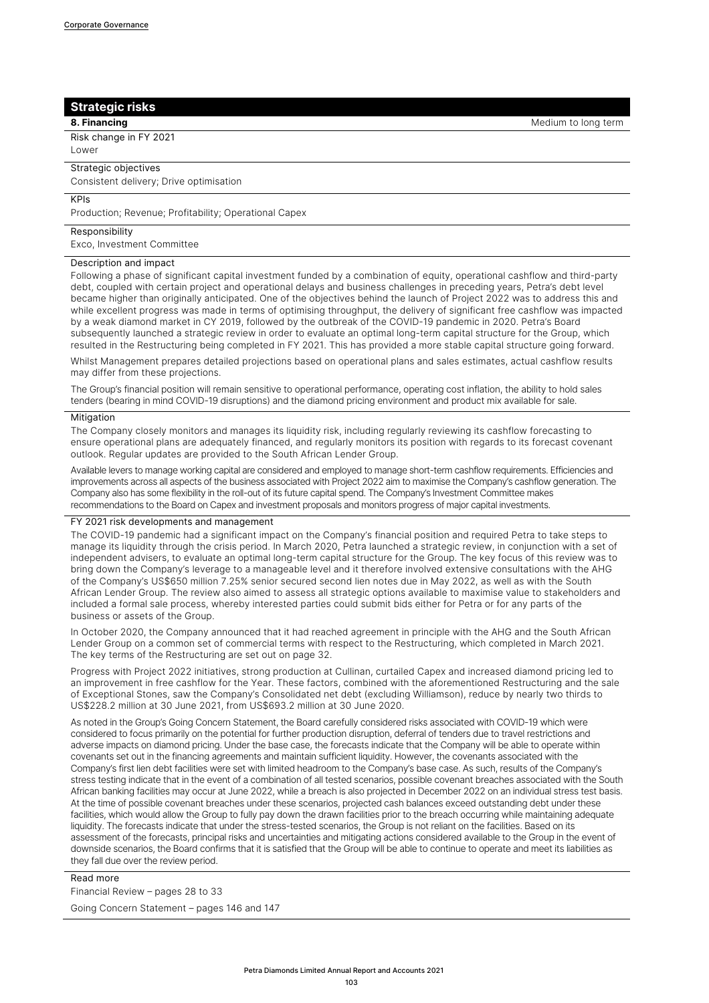# **Strategic risks**

Risk change in FY 2021 Lower

# Strategic objectives

Consistent delivery; Drive optimisation

#### KPIs

Production; Revenue; Profitability; Operational Capex

#### Responsibility

Exco, Investment Committee

#### Description and impact

Following a phase of significant capital investment funded by a combination of equity, operational cashflow and third-party debt, coupled with certain project and operational delays and business challenges in preceding years, Petra's debt level became higher than originally anticipated. One of the objectives behind the launch of Project 2022 was to address this and while excellent progress was made in terms of optimising throughput, the delivery of significant free cashflow was impacted by a weak diamond market in CY 2019, followed by the outbreak of the COVID-19 pandemic in 2020. Petra's Board subsequently launched a strategic review in order to evaluate an optimal long-term capital structure for the Group, which resulted in the Restructuring being completed in FY 2021. This has provided a more stable capital structure going forward.

Whilst Management prepares detailed projections based on operational plans and sales estimates, actual cashflow results may differ from these projections.

The Group's financial position will remain sensitive to operational performance, operating cost inflation, the ability to hold sales tenders (bearing in mind COVID-19 disruptions) and the diamond pricing environment and product mix available for sale.

#### **Mitigation**

The Company closely monitors and manages its liquidity risk, including regularly reviewing its cashflow forecasting to ensure operational plans are adequately financed, and regularly monitors its position with regards to its forecast covenant outlook. Regular updates are provided to the South African Lender Group.

Available levers to manage working capital are considered and employed to manage short-term cashflow requirements. Efficiencies and improvements across all aspects of the business associated with Project 2022 aim to maximise the Company's cashflow generation. The Company also has some flexibility in the roll-out of its future capital spend. The Company's Investment Committee makes recommendations to the Board on Capex and investment proposals and monitors progress of major capital investments.

#### FY 2021 risk developments and management

The COVID-19 pandemic had a significant impact on the Company's financial position and required Petra to take steps to manage its liquidity through the crisis period. In March 2020, Petra launched a strategic review, in conjunction with a set of independent advisers, to evaluate an optimal long-term capital structure for the Group. The key focus of this review was to bring down the Company's leverage to a manageable level and it therefore involved extensive consultations with the AHG of the Company's US\$650 million 7.25% senior secured second lien notes due in May 2022, as well as with the South African Lender Group. The review also aimed to assess all strategic options available to maximise value to stakeholders and included a formal sale process, whereby interested parties could submit bids either for Petra or for any parts of the business or assets of the Group.

In October 2020, the Company announced that it had reached agreement in principle with the AHG and the South African Lender Group on a common set of commercial terms with respect to the Restructuring, which completed in March 2021. The key terms of the Restructuring are set out on page 32.

Progress with Project 2022 initiatives, strong production at Cullinan, curtailed Capex and increased diamond pricing led to an improvement in free cashflow for the Year. These factors, combined with the aforementioned Restructuring and the sale of Exceptional Stones, saw the Company's Consolidated net debt (excluding Williamson), reduce by nearly two thirds to US\$228.2 million at 30 June 2021, from US\$693.2 million at 30 June 2020.

As noted in the Group's Going Concern Statement, the Board carefully considered risks associated with COVID-19 which were considered to focus primarily on the potential for further production disruption, deferral of tenders due to travel restrictions and adverse impacts on diamond pricing. Under the base case, the forecasts indicate that the Company will be able to operate within covenants set out in the financing agreements and maintain sufficient liquidity. However, the covenants associated with the Company's first lien debt facilities were set with limited headroom to the Company's base case. As such, results of the Company's stress testing indicate that in the event of a combination of all tested scenarios, possible covenant breaches associated with the South African banking facilities may occur at June 2022, while a breach is also projected in December 2022 on an individual stress test basis. At the time of possible covenant breaches under these scenarios, projected cash balances exceed outstanding debt under these facilities, which would allow the Group to fully pay down the drawn facilities prior to the breach occurring while maintaining adequate liquidity. The forecasts indicate that under the stress-tested scenarios, the Group is not reliant on the facilities. Based on its assessment of the forecasts, principal risks and uncertainties and mitigating actions considered available to the Group in the event of downside scenarios, the Board confirms that it is satisfied that the Group will be able to continue to operate and meet its liabilities as they fall due over the review period.

### Read more

Financial Review – pages 28 to 33

Going Concern Statement – pages 146 and 147